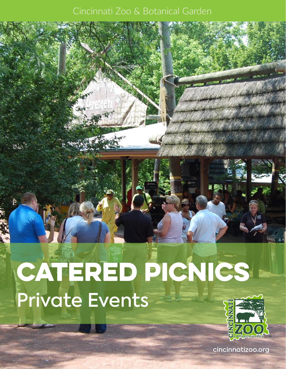### Cincinnati Zoo & Botanical Garden





cincinnatizoo.org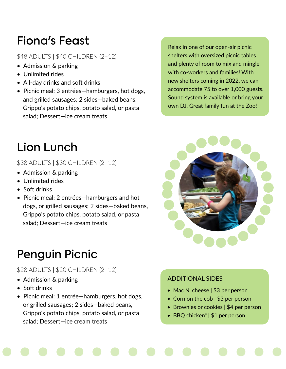## Fiona's Feast

### \$48 ADULTS | \$40 CHILDREN (2–12)

- Admission & parking
- Unlimited rides
- All-day drinks and soft drinks
- Picnic meal: 3 entrées—hamburgers, hot dogs, and grilled sausages; 2 sides—baked beans, Grippo's potato chips, potato salad, or pasta salad; Dessert—ice cream treats

Relax in one of our open-air picnic shelters with oversized picnic tables and plenty of room to mix and mingle with co-workers and families! With new shelters coming in 2022, we can accommodate 75 to over 1,000 guests. Sound system is available or bring your own DJ. Great family fun at the Zoo!

## Lion Lunch

\$38 ADULTS | \$30 CHILDREN (2–12)

- Admission & parking
- Unlimited rides
- Soft drinks
- Picnic meal: 2 entrées—hamburgers and hot dogs, or grilled sausages; 2 sides—baked beans, Grippo's potato chips, potato salad, or pasta salad; Dessert—ice cream treats

# Penguin Picnic

### \$28 ADULTS | \$20 CHILDREN (2–12)

- Admission & parking
- Soft drinks
- Picnic meal: 1 entrée—hamburgers, hot dogs, or grilled sausages; 2 sides—baked beans, Grippo's potato chips, potato salad, or pasta salad; Dessert—ice cream treats



### ADDITIONAL SIDES

- Mac N' cheese | \$3 per person
- Corn on the cob | \$3 per person
- Brownies or cookies | \$4 per person
- BBQ chicken\* | \$1 per person